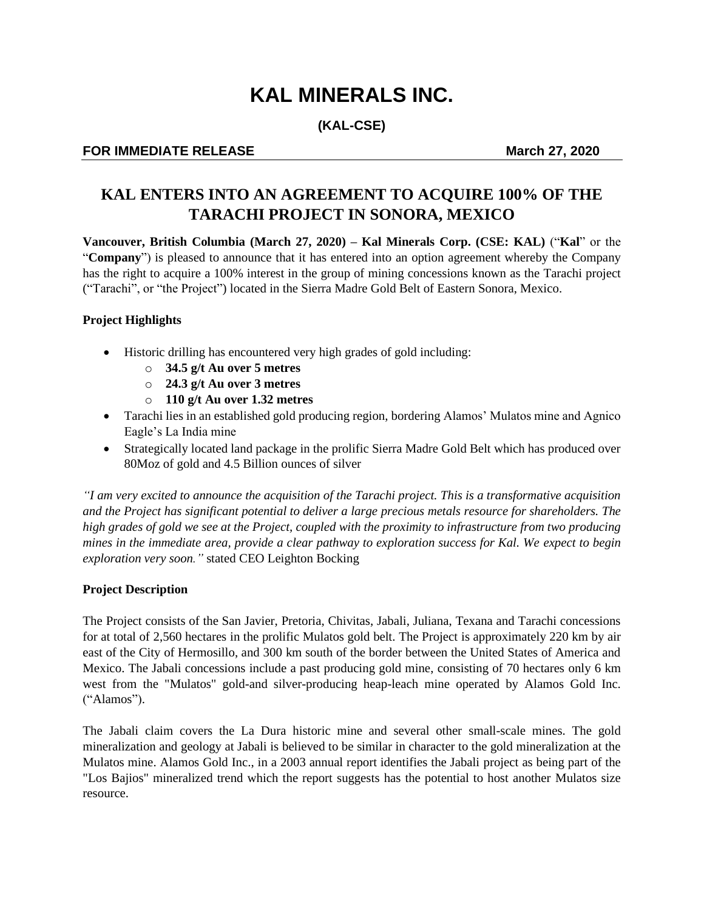# **KAL MINERALS INC.**

**(KAL-CSE)**

## **FOR IMMEDIATE RELEASE** March 27, 2020

# **KAL ENTERS INTO AN AGREEMENT TO ACQUIRE 100% OF THE TARACHI PROJECT IN SONORA, MEXICO**

**Vancouver, British Columbia (March 27, 2020) – Kal Minerals Corp. (CSE: KAL)** ("**Kal**" or the "**Company**") is pleased to announce that it has entered into an option agreement whereby the Company has the right to acquire a 100% interest in the group of mining concessions known as the Tarachi project ("Tarachi", or "the Project") located in the Sierra Madre Gold Belt of Eastern Sonora, Mexico.

#### **Project Highlights**

- Historic drilling has encountered very high grades of gold including:
	- o **34.5 g/t Au over 5 metres**
	- o **24.3 g/t Au over 3 metres**
	- o **110 g/t Au over 1.32 metres**
- Tarachi lies in an established gold producing region, bordering Alamos' Mulatos mine and Agnico Eagle's La India mine
- Strategically located land package in the prolific Sierra Madre Gold Belt which has produced over 80Moz of gold and 4.5 Billion ounces of silver

*"I am very excited to announce the acquisition of the Tarachi project. This is a transformative acquisition and the Project has significant potential to deliver a large precious metals resource for shareholders. The high grades of gold we see at the Project, coupled with the proximity to infrastructure from two producing mines in the immediate area, provide a clear pathway to exploration success for Kal. We expect to begin exploration very soon."* stated CEO Leighton Bocking

#### **Project Description**

The Project consists of the San Javier, Pretoria, Chivitas, Jabali, Juliana, Texana and Tarachi concessions for at total of 2,560 hectares in the prolific Mulatos gold belt. The Project is approximately 220 km by air east of the City of Hermosillo, and 300 km south of the border between the United States of America and Mexico. The Jabali concessions include a past producing gold mine, consisting of 70 hectares only 6 km west from the "Mulatos" gold-and silver-producing heap-leach mine operated by Alamos Gold Inc. ("Alamos").

The Jabali claim covers the La Dura historic mine and several other small-scale mines. The gold mineralization and geology at Jabali is believed to be similar in character to the gold mineralization at the Mulatos mine. Alamos Gold Inc., in a 2003 annual report identifies the Jabali project as being part of the "Los Bajios" mineralized trend which the report suggests has the potential to host another Mulatos size resource.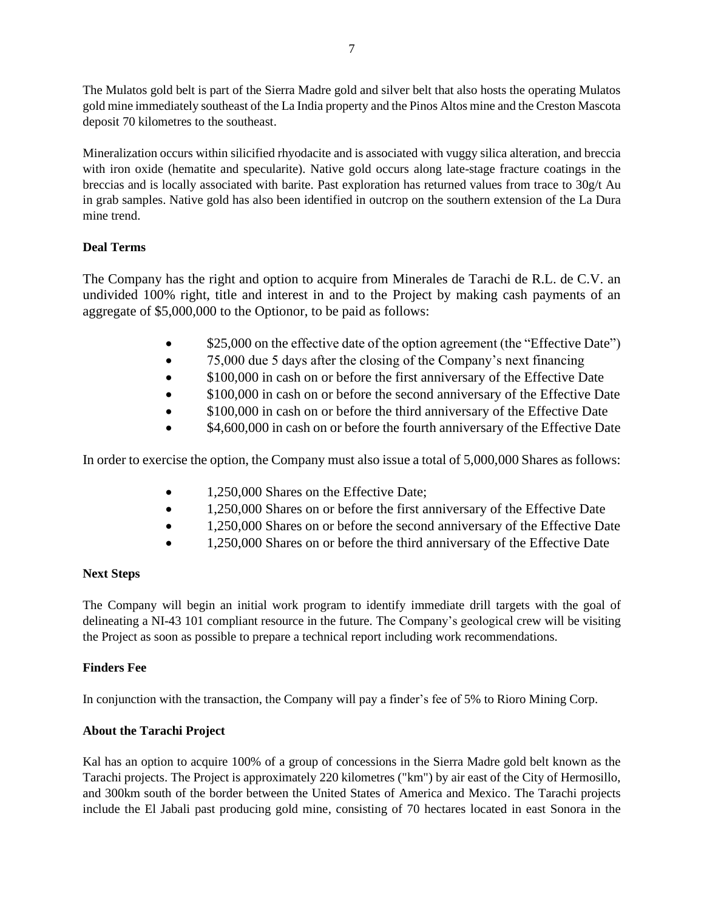The Mulatos gold belt is part of the Sierra Madre gold and silver belt that also hosts the operating Mulatos gold mine immediately southeast of the La India property and the Pinos Altos mine and the Creston Mascota deposit 70 kilometres to the southeast.

Mineralization occurs within silicified rhyodacite and is associated with vuggy silica alteration, and breccia with iron oxide (hematite and specularite). Native gold occurs along late-stage fracture coatings in the breccias and is locally associated with barite. Past exploration has returned values from trace to 30g/t Au in grab samples. Native gold has also been identified in outcrop on the southern extension of the La Dura mine trend.

### **Deal Terms**

The Company has the right and option to acquire from Minerales de Tarachi de R.L. de C.V. an undivided 100% right, title and interest in and to the Project by making cash payments of an aggregate of \$5,000,000 to the Optionor, to be paid as follows:

- $$25,000$  on the effective date of the option agreement (the "Effective Date")
- 75,000 due 5 days after the closing of the Company's next financing
- \$100,000 in cash on or before the first anniversary of the Effective Date
- \$100,000 in cash on or before the second anniversary of the Effective Date
- \$100,000 in cash on or before the third anniversary of the Effective Date
- \$4,600,000 in cash on or before the fourth anniversary of the Effective Date

In order to exercise the option, the Company must also issue a total of 5,000,000 Shares as follows:

- 1,250,000 Shares on the Effective Date;
- 1,250,000 Shares on or before the first anniversary of the Effective Date
- 1,250,000 Shares on or before the second anniversary of the Effective Date
- 1,250,000 Shares on or before the third anniversary of the Effective Date

#### **Next Steps**

The Company will begin an initial work program to identify immediate drill targets with the goal of delineating a NI-43 101 compliant resource in the future. The Company's geological crew will be visiting the Project as soon as possible to prepare a technical report including work recommendations.

#### **Finders Fee**

In conjunction with the transaction, the Company will pay a finder's fee of 5% to Rioro Mining Corp.

# **About the Tarachi Project**

Kal has an option to acquire 100% of a group of concessions in the Sierra Madre gold belt known as the Tarachi projects. The Project is approximately 220 kilometres ("km") by air east of the City of Hermosillo, and 300km south of the border between the United States of America and Mexico. The Tarachi projects include the El Jabali past producing gold mine, consisting of 70 hectares located in east Sonora in the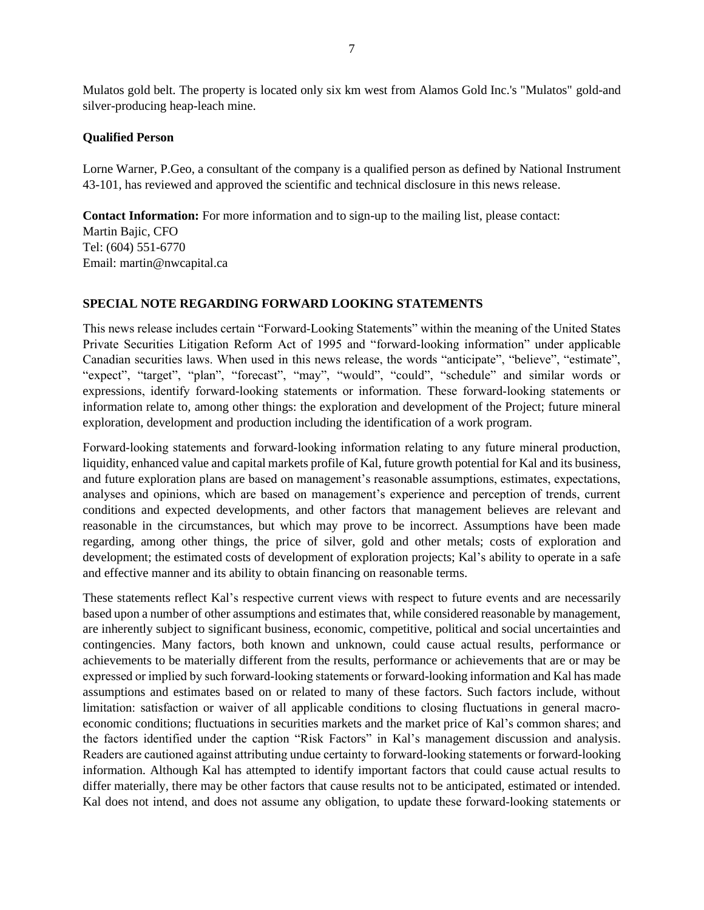Mulatos gold belt. The property is located only six km west from Alamos Gold Inc.'s "Mulatos" gold-and silver-producing heap-leach mine.

#### **Qualified Person**

Lorne Warner, P.Geo, a consultant of the company is a qualified person as defined by National Instrument 43-101, has reviewed and approved the scientific and technical disclosure in this news release.

**Contact Information:** For more information and to sign-up to the mailing list, please contact: Martin Bajic, CFO Tel: (604) 551-6770 Email: martin@nwcapital.ca

#### **SPECIAL NOTE REGARDING FORWARD LOOKING STATEMENTS**

This news release includes certain "Forward‐Looking Statements" within the meaning of the United States Private Securities Litigation Reform Act of 1995 and "forward‐looking information" under applicable Canadian securities laws. When used in this news release, the words "anticipate", "believe", "estimate", "expect", "target", "plan", "forecast", "may", "would", "could", "schedule" and similar words or expressions, identify forward‐looking statements or information. These forward‐looking statements or information relate to, among other things: the exploration and development of the Project; future mineral exploration, development and production including the identification of a work program.

Forward‐looking statements and forward‐looking information relating to any future mineral production, liquidity, enhanced value and capital markets profile of Kal, future growth potential for Kal and its business, and future exploration plans are based on management's reasonable assumptions, estimates, expectations, analyses and opinions, which are based on management's experience and perception of trends, current conditions and expected developments, and other factors that management believes are relevant and reasonable in the circumstances, but which may prove to be incorrect. Assumptions have been made regarding, among other things, the price of silver, gold and other metals; costs of exploration and development; the estimated costs of development of exploration projects; Kal's ability to operate in a safe and effective manner and its ability to obtain financing on reasonable terms.

These statements reflect Kal's respective current views with respect to future events and are necessarily based upon a number of other assumptions and estimates that, while considered reasonable by management, are inherently subject to significant business, economic, competitive, political and social uncertainties and contingencies. Many factors, both known and unknown, could cause actual results, performance or achievements to be materially different from the results, performance or achievements that are or may be expressed or implied by such forward‐looking statements or forward-looking information and Kal has made assumptions and estimates based on or related to many of these factors. Such factors include, without limitation: satisfaction or waiver of all applicable conditions to closing fluctuations in general macroeconomic conditions; fluctuations in securities markets and the market price of Kal's common shares; and the factors identified under the caption "Risk Factors" in Kal's management discussion and analysis. Readers are cautioned against attributing undue certainty to forward‐looking statements or forward-looking information. Although Kal has attempted to identify important factors that could cause actual results to differ materially, there may be other factors that cause results not to be anticipated, estimated or intended. Kal does not intend, and does not assume any obligation, to update these forward-looking statements or